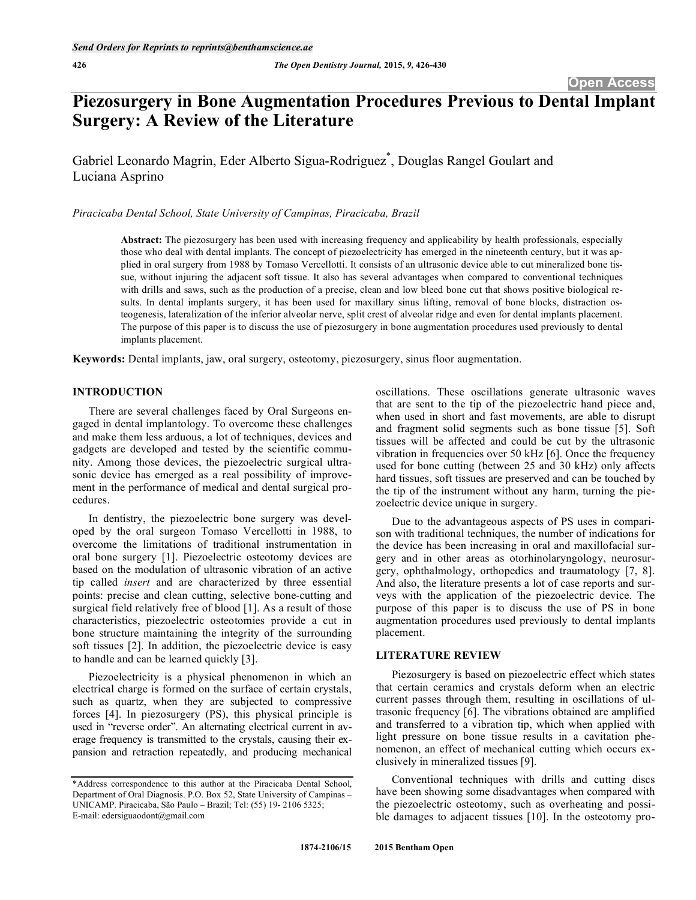# **Piezosurgery in Bone Augmentation Procedures Previous to Dental Implant Surgery: A Review of the Literature**

Gabriel Leonardo Magrin, Eder Alberto Sigua-Rodriguez\* , Douglas Rangel Goulart and Luciana Asprino

*Piracicaba Dental School, State University of Campinas, Piracicaba, Brazil* 

**Abstract:** The piezosurgery has been used with increasing frequency and applicability by health professionals, especially those who deal with dental implants. The concept of piezoelectricity has emerged in the nineteenth century, but it was applied in oral surgery from 1988 by Tomaso Vercellotti. It consists of an ultrasonic device able to cut mineralized bone tissue, without injuring the adjacent soft tissue. It also has several advantages when compared to conventional techniques with drills and saws, such as the production of a precise, clean and low bleed bone cut that shows positive biological results. In dental implants surgery, it has been used for maxillary sinus lifting, removal of bone blocks, distraction osteogenesis, lateralization of the inferior alveolar nerve, split crest of alveolar ridge and even for dental implants placement. The purpose of this paper is to discuss the use of piezosurgery in bone augmentation procedures used previously to dental implants placement.

**Keywords:** Dental implants, jaw, oral surgery, osteotomy, piezosurgery, sinus floor augmentation.

# **INTRODUCTION**

There are several challenges faced by Oral Surgeons engaged in dental implantology. To overcome these challenges and make them less arduous, a lot of techniques, devices and gadgets are developed and tested by the scientific community. Among those devices, the piezoelectric surgical ultrasonic device has emerged as a real possibility of improvement in the performance of medical and dental surgical procedures.

In dentistry, the piezoelectric bone surgery was developed by the oral surgeon Tomaso Vercellotti in 1988, to overcome the limitations of traditional instrumentation in oral bone surgery [1]. Piezoelectric osteotomy devices are based on the modulation of ultrasonic vibration of an active tip called *insert* and are characterized by three essential points: precise and clean cutting, selective bone-cutting and surgical field relatively free of blood [1]. As a result of those characteristics, piezoelectric osteotomies provide a cut in bone structure maintaining the integrity of the surrounding soft tissues [2]. In addition, the piezoelectric device is easy to handle and can be learned quickly [3].

Piezoelectricity is a physical phenomenon in which an electrical charge is formed on the surface of certain crystals, such as quartz, when they are subjected to compressive forces [4]. In piezosurgery (PS), this physical principle is used in "reverse order". An alternating electrical current in average frequency is transmitted to the crystals, causing their expansion and retraction repeatedly, and producing mechanical oscillations. These oscillations generate ultrasonic waves that are sent to the tip of the piezoelectric hand piece and, when used in short and fast movements, are able to disrupt and fragment solid segments such as bone tissue [5]. Soft tissues will be affected and could be cut by the ultrasonic vibration in frequencies over 50 kHz [6]. Once the frequency used for bone cutting (between 25 and 30 kHz) only affects hard tissues, soft tissues are preserved and can be touched by the tip of the instrument without any harm, turning the piezoelectric device unique in surgery.

Due to the advantageous aspects of PS uses in comparison with traditional techniques, the number of indications for the device has been increasing in oral and maxillofacial surgery and in other areas as otorhinolaryngology, neurosurgery, ophthalmology, orthopedics and traumatology [7, 8]. And also, the literature presents a lot of case reports and surveys with the application of the piezoelectric device. The purpose of this paper is to discuss the use of PS in bone augmentation procedures used previously to dental implants placement.

# **LITERATURE REVIEW**

Piezosurgery is based on piezoelectric effect which states that certain ceramics and crystals deform when an electric current passes through them, resulting in oscillations of ultrasonic frequency [6]. The vibrations obtained are amplified and transferred to a vibration tip, which when applied with light pressure on bone tissue results in a cavitation phenomenon, an effect of mechanical cutting which occurs exclusively in mineralized tissues [9].

Conventional techniques with drills and cutting discs have been showing some disadvantages when compared with the piezoelectric osteotomy, such as overheating and possible damages to adjacent tissues [10]. In the osteotomy pro-

<sup>\*</sup>Address correspondence to this author at the Piracicaba Dental School, Department of Oral Diagnosis. P.O. Box 52, State University of Campinas – UNICAMP. Piracicaba, São Paulo – Brazil; Tel: (55) 19- 2106 5325; E-mail: edersiguaodont@gmail.com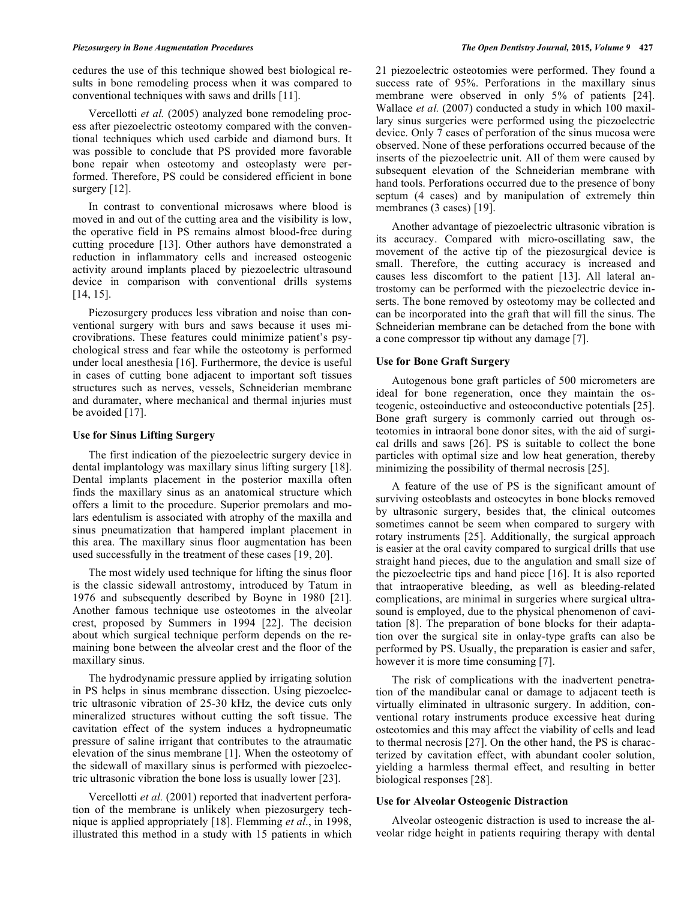cedures the use of this technique showed best biological results in bone remodeling process when it was compared to conventional techniques with saws and drills [11].

Vercellotti *et al.* (2005) analyzed bone remodeling process after piezoelectric osteotomy compared with the conventional techniques which used carbide and diamond burs. It was possible to conclude that PS provided more favorable bone repair when osteotomy and osteoplasty were performed. Therefore, PS could be considered efficient in bone surgery [12].

In contrast to conventional microsaws where blood is moved in and out of the cutting area and the visibility is low, the operative field in PS remains almost blood-free during cutting procedure [13]. Other authors have demonstrated a reduction in inflammatory cells and increased osteogenic activity around implants placed by piezoelectric ultrasound device in comparison with conventional drills systems [14, 15].

Piezosurgery produces less vibration and noise than conventional surgery with burs and saws because it uses microvibrations. These features could minimize patient's psychological stress and fear while the osteotomy is performed under local anesthesia [16]. Furthermore, the device is useful in cases of cutting bone adjacent to important soft tissues structures such as nerves, vessels, Schneiderian membrane and duramater, where mechanical and thermal injuries must be avoided [17].

# **Use for Sinus Lifting Surgery**

The first indication of the piezoelectric surgery device in dental implantology was maxillary sinus lifting surgery [18]. Dental implants placement in the posterior maxilla often finds the maxillary sinus as an anatomical structure which offers a limit to the procedure. Superior premolars and molars edentulism is associated with atrophy of the maxilla and sinus pneumatization that hampered implant placement in this area. The maxillary sinus floor augmentation has been used successfully in the treatment of these cases [19, 20].

The most widely used technique for lifting the sinus floor is the classic sidewall antrostomy, introduced by Tatum in 1976 and subsequently described by Boyne in 1980 [21]. Another famous technique use osteotomes in the alveolar crest, proposed by Summers in 1994 [22]. The decision about which surgical technique perform depends on the remaining bone between the alveolar crest and the floor of the maxillary sinus.

The hydrodynamic pressure applied by irrigating solution in PS helps in sinus membrane dissection. Using piezoelectric ultrasonic vibration of 25-30 kHz, the device cuts only mineralized structures without cutting the soft tissue. The cavitation effect of the system induces a hydropneumatic pressure of saline irrigant that contributes to the atraumatic elevation of the sinus membrane [1]. When the osteotomy of the sidewall of maxillary sinus is performed with piezoelectric ultrasonic vibration the bone loss is usually lower [23].

Vercellotti *et al.* (2001) reported that inadvertent perforation of the membrane is unlikely when piezosurgery technique is applied appropriately [18]. Flemming *et al*., in 1998, illustrated this method in a study with 15 patients in which 21 piezoelectric osteotomies were performed. They found a success rate of 95%. Perforations in the maxillary sinus membrane were observed in only 5% of patients [24]. Wallace *et al.* (2007) conducted a study in which 100 maxillary sinus surgeries were performed using the piezoelectric device. Only 7 cases of perforation of the sinus mucosa were observed. None of these perforations occurred because of the inserts of the piezoelectric unit. All of them were caused by subsequent elevation of the Schneiderian membrane with hand tools. Perforations occurred due to the presence of bony septum (4 cases) and by manipulation of extremely thin membranes (3 cases) [19].

Another advantage of piezoelectric ultrasonic vibration is its accuracy. Compared with micro-oscillating saw, the movement of the active tip of the piezosurgical device is small. Therefore, the cutting accuracy is increased and causes less discomfort to the patient [13]. All lateral antrostomy can be performed with the piezoelectric device inserts. The bone removed by osteotomy may be collected and can be incorporated into the graft that will fill the sinus. The Schneiderian membrane can be detached from the bone with a cone compressor tip without any damage [7].

# **Use for Bone Graft Surgery**

Autogenous bone graft particles of 500 micrometers are ideal for bone regeneration, once they maintain the osteogenic, osteoinductive and osteoconductive potentials [25]. Bone graft surgery is commonly carried out through osteotomies in intraoral bone donor sites, with the aid of surgical drills and saws [26]. PS is suitable to collect the bone particles with optimal size and low heat generation, thereby minimizing the possibility of thermal necrosis [25].

A feature of the use of PS is the significant amount of surviving osteoblasts and osteocytes in bone blocks removed by ultrasonic surgery, besides that, the clinical outcomes sometimes cannot be seem when compared to surgery with rotary instruments [25]. Additionally, the surgical approach is easier at the oral cavity compared to surgical drills that use straight hand pieces, due to the angulation and small size of the piezoelectric tips and hand piece [16]. It is also reported that intraoperative bleeding, as well as bleeding-related complications, are minimal in surgeries where surgical ultrasound is employed, due to the physical phenomenon of cavitation [8]. The preparation of bone blocks for their adaptation over the surgical site in onlay-type grafts can also be performed by PS. Usually, the preparation is easier and safer, however it is more time consuming [7].

The risk of complications with the inadvertent penetration of the mandibular canal or damage to adjacent teeth is virtually eliminated in ultrasonic surgery. In addition, conventional rotary instruments produce excessive heat during osteotomies and this may affect the viability of cells and lead to thermal necrosis [27]. On the other hand, the PS is characterized by cavitation effect, with abundant cooler solution, yielding a harmless thermal effect, and resulting in better biological responses [28].

# **Use for Alveolar Osteogenic Distraction**

Alveolar osteogenic distraction is used to increase the alveolar ridge height in patients requiring therapy with dental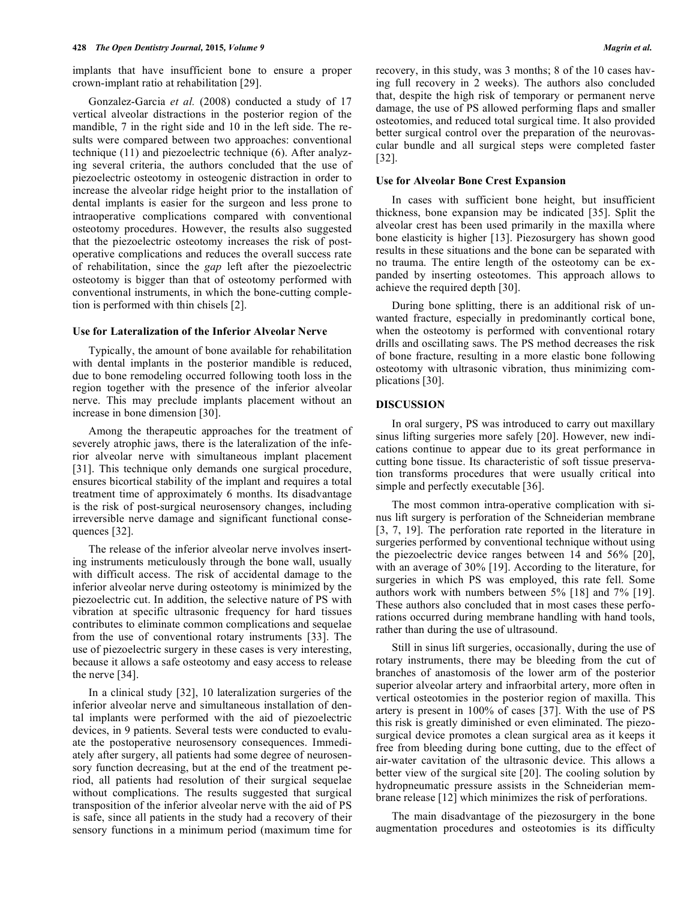implants that have insufficient bone to ensure a proper crown-implant ratio at rehabilitation [29].

Gonzalez-Garcia *et al.* (2008) conducted a study of 17 vertical alveolar distractions in the posterior region of the mandible, 7 in the right side and 10 in the left side. The results were compared between two approaches: conventional technique (11) and piezoelectric technique (6). After analyzing several criteria, the authors concluded that the use of piezoelectric osteotomy in osteogenic distraction in order to increase the alveolar ridge height prior to the installation of dental implants is easier for the surgeon and less prone to intraoperative complications compared with conventional osteotomy procedures. However, the results also suggested that the piezoelectric osteotomy increases the risk of postoperative complications and reduces the overall success rate of rehabilitation, since the *gap* left after the piezoelectric osteotomy is bigger than that of osteotomy performed with conventional instruments, in which the bone-cutting completion is performed with thin chisels [2].

# **Use for Lateralization of the Inferior Alveolar Nerve**

Typically, the amount of bone available for rehabilitation with dental implants in the posterior mandible is reduced, due to bone remodeling occurred following tooth loss in the region together with the presence of the inferior alveolar nerve. This may preclude implants placement without an increase in bone dimension [30].

Among the therapeutic approaches for the treatment of severely atrophic jaws, there is the lateralization of the inferior alveolar nerve with simultaneous implant placement [31]. This technique only demands one surgical procedure, ensures bicortical stability of the implant and requires a total treatment time of approximately 6 months. Its disadvantage is the risk of post-surgical neurosensory changes, including irreversible nerve damage and significant functional consequences [32].

The release of the inferior alveolar nerve involves inserting instruments meticulously through the bone wall, usually with difficult access. The risk of accidental damage to the inferior alveolar nerve during osteotomy is minimized by the piezoelectric cut. In addition, the selective nature of PS with vibration at specific ultrasonic frequency for hard tissues contributes to eliminate common complications and sequelae from the use of conventional rotary instruments [33]. The use of piezoelectric surgery in these cases is very interesting, because it allows a safe osteotomy and easy access to release the nerve [34].

In a clinical study [32], 10 lateralization surgeries of the inferior alveolar nerve and simultaneous installation of dental implants were performed with the aid of piezoelectric devices, in 9 patients. Several tests were conducted to evaluate the postoperative neurosensory consequences. Immediately after surgery, all patients had some degree of neurosensory function decreasing, but at the end of the treatment period, all patients had resolution of their surgical sequelae without complications. The results suggested that surgical transposition of the inferior alveolar nerve with the aid of PS is safe, since all patients in the study had a recovery of their sensory functions in a minimum period (maximum time for recovery, in this study, was 3 months; 8 of the 10 cases having full recovery in 2 weeks). The authors also concluded that, despite the high risk of temporary or permanent nerve damage, the use of PS allowed performing flaps and smaller osteotomies, and reduced total surgical time. It also provided better surgical control over the preparation of the neurovascular bundle and all surgical steps were completed faster [32].

#### **Use for Alveolar Bone Crest Expansion**

In cases with sufficient bone height, but insufficient thickness, bone expansion may be indicated [35]. Split the alveolar crest has been used primarily in the maxilla where bone elasticity is higher [13]. Piezosurgery has shown good results in these situations and the bone can be separated with no trauma. The entire length of the osteotomy can be expanded by inserting osteotomes. This approach allows to achieve the required depth [30].

During bone splitting, there is an additional risk of unwanted fracture, especially in predominantly cortical bone, when the osteotomy is performed with conventional rotary drills and oscillating saws. The PS method decreases the risk of bone fracture, resulting in a more elastic bone following osteotomy with ultrasonic vibration, thus minimizing complications [30].

#### **DISCUSSION**

In oral surgery, PS was introduced to carry out maxillary sinus lifting surgeries more safely [20]. However, new indications continue to appear due to its great performance in cutting bone tissue. Its characteristic of soft tissue preservation transforms procedures that were usually critical into simple and perfectly executable [36].

The most common intra-operative complication with sinus lift surgery is perforation of the Schneiderian membrane [3, 7, 19]. The perforation rate reported in the literature in surgeries performed by conventional technique without using the piezoelectric device ranges between 14 and 56% [20], with an average of 30% [19]. According to the literature, for surgeries in which PS was employed, this rate fell. Some authors work with numbers between 5% [18] and 7% [19]. These authors also concluded that in most cases these perforations occurred during membrane handling with hand tools, rather than during the use of ultrasound.

Still in sinus lift surgeries, occasionally, during the use of rotary instruments, there may be bleeding from the cut of branches of anastomosis of the lower arm of the posterior superior alveolar artery and infraorbital artery, more often in vertical osteotomies in the posterior region of maxilla. This artery is present in 100% of cases [37]. With the use of PS this risk is greatly diminished or even eliminated. The piezosurgical device promotes a clean surgical area as it keeps it free from bleeding during bone cutting, due to the effect of air-water cavitation of the ultrasonic device. This allows a better view of the surgical site [20]. The cooling solution by hydropneumatic pressure assists in the Schneiderian membrane release [12] which minimizes the risk of perforations.

The main disadvantage of the piezosurgery in the bone augmentation procedures and osteotomies is its difficulty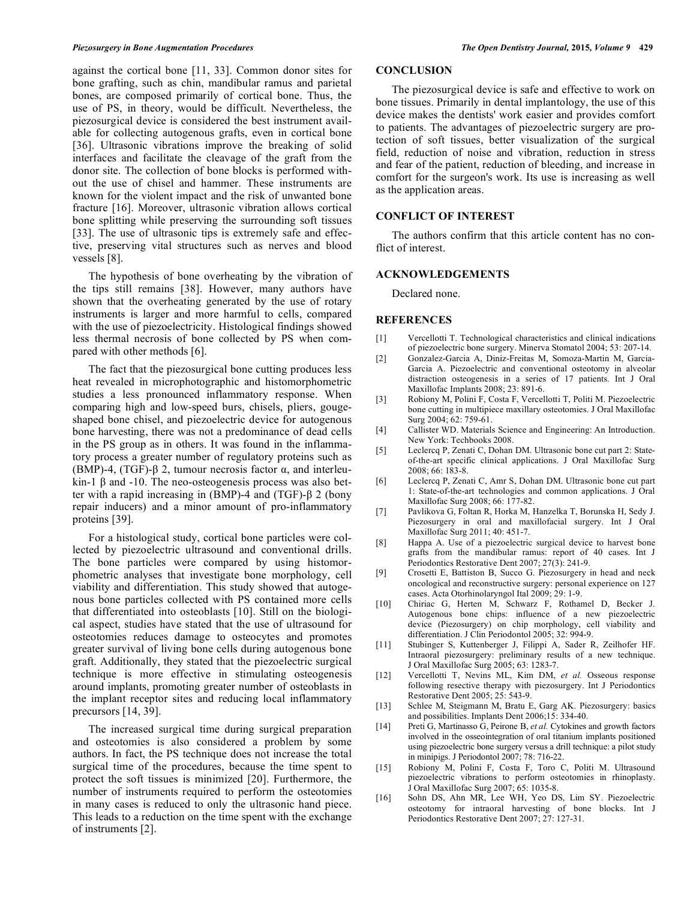### *Piezosurgery in Bone Augmentation Procedures The Open Dentistry Journal,* **2015***, Volume 9* **429**

against the cortical bone [11, 33]. Common donor sites for bone grafting, such as chin, mandibular ramus and parietal bones, are composed primarily of cortical bone. Thus, the use of PS, in theory, would be difficult. Nevertheless, the piezosurgical device is considered the best instrument available for collecting autogenous grafts, even in cortical bone [36]. Ultrasonic vibrations improve the breaking of solid interfaces and facilitate the cleavage of the graft from the donor site. The collection of bone blocks is performed without the use of chisel and hammer. These instruments are known for the violent impact and the risk of unwanted bone fracture [16]. Moreover, ultrasonic vibration allows cortical bone splitting while preserving the surrounding soft tissues [33]. The use of ultrasonic tips is extremely safe and effective, preserving vital structures such as nerves and blood vessels [8].

The hypothesis of bone overheating by the vibration of the tips still remains [38]. However, many authors have shown that the overheating generated by the use of rotary instruments is larger and more harmful to cells, compared with the use of piezoelectricity. Histological findings showed less thermal necrosis of bone collected by PS when compared with other methods [6].

The fact that the piezosurgical bone cutting produces less heat revealed in microphotographic and histomorphometric studies a less pronounced inflammatory response. When comparing high and low-speed burs, chisels, pliers, gougeshaped bone chisel, and piezoelectric device for autogenous bone harvesting, there was not a predominance of dead cells in the PS group as in others. It was found in the inflammatory process a greater number of regulatory proteins such as  $(BMP)$ -4,  $(TGF)$ - $\beta$  2, tumour necrosis factor  $\alpha$ , and interleu- $\sin$ -1  $\beta$  and -10. The neo-osteogenesis process was also better with a rapid increasing in  $(BMP)$ -4 and  $(TGF)$ - $\beta$  2 (bony repair inducers) and a minor amount of pro-inflammatory proteins [39].

For a histological study, cortical bone particles were collected by piezoelectric ultrasound and conventional drills. The bone particles were compared by using histomorphometric analyses that investigate bone morphology, cell viability and differentiation. This study showed that autogenous bone particles collected with PS contained more cells that differentiated into osteoblasts [10]. Still on the biological aspect, studies have stated that the use of ultrasound for osteotomies reduces damage to osteocytes and promotes greater survival of living bone cells during autogenous bone graft. Additionally, they stated that the piezoelectric surgical technique is more effective in stimulating osteogenesis around implants, promoting greater number of osteoblasts in the implant receptor sites and reducing local inflammatory precursors [14, 39].

The increased surgical time during surgical preparation and osteotomies is also considered a problem by some authors. In fact, the PS technique does not increase the total surgical time of the procedures, because the time spent to protect the soft tissues is minimized [20]. Furthermore, the number of instruments required to perform the osteotomies in many cases is reduced to only the ultrasonic hand piece. This leads to a reduction on the time spent with the exchange of instruments [2].

# **CONCLUSION**

The piezosurgical device is safe and effective to work on bone tissues. Primarily in dental implantology, the use of this device makes the dentists' work easier and provides comfort to patients. The advantages of piezoelectric surgery are protection of soft tissues, better visualization of the surgical field, reduction of noise and vibration, reduction in stress and fear of the patient, reduction of bleeding, and increase in comfort for the surgeon's work. Its use is increasing as well as the application areas.

# **CONFLICT OF INTEREST**

The authors confirm that this article content has no conflict of interest.

#### **ACKNOWLEDGEMENTS**

Declared none.

# **REFERENCES**

- [1] Vercellotti T. Technological characteristics and clinical indications of piezoelectric bone surgery. Minerva Stomatol 2004; 53: 207-14.
- [2] Gonzalez-Garcia A, Diniz-Freitas M, Somoza-Martin M, Garcia-Garcia A. Piezoelectric and conventional osteotomy in alveolar distraction osteogenesis in a series of 17 patients. Int J Oral Maxillofac Implants 2008; 23: 891-6.
- [3] Robiony M, Polini F, Costa F, Vercellotti T, Politi M. Piezoelectric bone cutting in multipiece maxillary osteotomies. J Oral Maxillofac Surg 2004; 62: 759-61.
- [4] Callister WD. Materials Science and Engineering: An Introduction. New York: Techbooks 2008.
- [5] Leclercq P, Zenati C, Dohan DM. Ultrasonic bone cut part 2: Stateof-the-art specific clinical applications. J Oral Maxillofac Surg 2008; 66: 183-8.
- [6] Leclercq P, Zenati C, Amr S, Dohan DM. Ultrasonic bone cut part 1: State-of-the-art technologies and common applications. J Oral Maxillofac Surg 2008; 66: 177-82.
- [7] Pavlikova G, Foltan R, Horka M, Hanzelka T, Borunska H, Sedy J. Piezosurgery in oral and maxillofacial surgery. Int J Oral Maxillofac Surg 2011; 40: 451-7.
- [8] Happa A. Use of a piezoelectric surgical device to harvest bone grafts from the mandibular ramus: report of 40 cases. Int J Periodontics Restorative Dent 2007; 27(3): 241-9.
- [9] Crosetti E, Battiston B, Succo G. Piezosurgery in head and neck oncological and reconstructive surgery: personal experience on 127 cases. Acta Otorhinolaryngol Ital 2009; 29: 1-9.
- [10] Chiriac G, Herten M, Schwarz F, Rothamel D, Becker J. Autogenous bone chips: influence of a new piezoelectric device (Piezosurgery) on chip morphology, cell viability and differentiation. J Clin Periodontol 2005; 32: 994-9.
- [11] Stubinger S, Kuttenberger J, Filippi A, Sader R, Zeilhofer HF. Intraoral piezosurgery: preliminary results of a new technique. J Oral Maxillofac Surg 2005; 63: 1283-7.
- [12] Vercellotti T, Nevins ML, Kim DM, *et al.* Osseous response following resective therapy with piezosurgery. Int J Periodontics Restorative Dent 2005; 25: 543-9.
- [13] Schlee M, Steigmann M, Bratu E, Garg AK. Piezosurgery: basics and possibilities. Implants Dent 2006;15: 334-40.
- [14] Preti G, Martinasso G, Peirone B, *et al.* Cytokines and growth factors involved in the osseointegration of oral titanium implants positioned using piezoelectric bone surgery versus a drill technique: a pilot study in minipigs. J Periodontol 2007; 78: 716-22.
- [15] Robiony M, Polini F, Costa F, Toro C, Politi M. Ultrasound piezoelectric vibrations to perform osteotomies in rhinoplasty. J Oral Maxillofac Surg 2007; 65: 1035-8.
- [16] Sohn DS, Ahn MR, Lee WH, Yeo DS, Lim SY. Piezoelectric osteotomy for intraoral harvesting of bone blocks. Int J Periodontics Restorative Dent 2007; 27: 127-31.